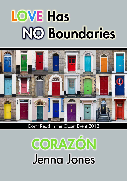# **LOVE Has NO Boundaries**



Don't Read in the Closet Event 2013

# CORAZÓN Jenna Jones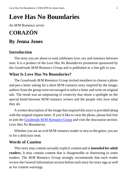# **Love Has No Boundaries**

*An M/M Romance series*

# **CORAZÓN**

## **By Jenna Jones**

#### **Introduction**

The story you are about to read celebrates love, sex and romance between men. It is a product of the *Love Has No Boundaries* promotion sponsored by the *Goodreads M/M Romance Group* and is published as a free gift to you.

### **What Is Love Has No Boundaries?**

The *Goodreads M/M Romance Group* invited members to choose a photo and pen a letter asking for a short M/M romance story inspired by the image; authors from the group were encouraged to select a letter and write an original tale. The result was an outpouring of creativity that shone a spotlight on the special bond between M/M romance writers and the people who love what they do.

A written description of the image that inspired this story is provided along with the original request letter. If you'd like to view the photo, please feel free to join the [Goodreads M/M Romance Group](http://www.goodreads.com/group/show/20149-m-m-romance) and visit the discussion section: *Love Has No Boundaries*.

Whether you are an avid M/M romance reader or new to the genre, you are in for a delicious treat.

#### **Words of Caution**

This story may contain sexually explicit content and is **intended for adult readers.** It may contain content that is disagreeable or distressing to some readers. The *M/M Romance Group* strongly recommends that each reader review the General Information section before each story for story tags as well as for content warnings.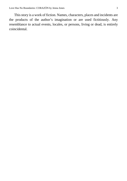This story is a work of fiction. Names, characters, places and incidents are the products of the author's imagination or are used fictitiously. Any resemblance to actual events, locales, or persons, living or dead, is entirely coincidental.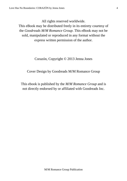All rights reserved worldwide.

This eBook may be distributed freely in its entirety courtesy of the *Goodreads M/M Romance Group*. This eBook may not be sold, manipulated or reproduced in any format without the express written permission of the author.

Corazón, Copyright © 2013 Jenna Jones

Cover Design by Goodreads M/M Romance Group

This ebook is published by the *M/M Romance Group* and is not directly endorsed by or affiliated with Goodreads Inc.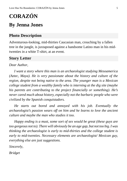# **CORAZÓN**

# **By Jenna Jones**

### **Photo Description**

Adventurous-looking, mid-thirties Caucasian man, crouching by a fallen tree in the jungle, is juxtaposed against a handsome Latino man in his midtwenties in a white T-shirt, at an event.

#### **Story Letter**

#### *Dear Author,*

*I want a story where this man is an archaeologist studying Mesoamerica (Aztec, Maya). He is very passionate about the history and culture of the region, despite not being native to the area. The younger man is a Mexican college student from a wealthy family who is interning at the dig site (maybe his parents are contributing to the project financially or something). He's never cared much about history, especially not the barbaric people who were civilized by the Spanish conquistadors.*

*He starts out bored and annoyed with his job. Eventually the archaeologist's passion wears off on him and he learns to love the ancient culture and maybe the man who studies it too.*

*Happy ending is a must, some sort of sex would be great (these guys are too gorgeous not to). There will obviously be an age gap, but not too big. I was thinking the archaeologist is early to mid-thirties and the college student is early to mid-twenties. Necessary elements are archaeologist/ Mexican guy, everything else are just suggestions.*

*Sincerely,*

*Bridget*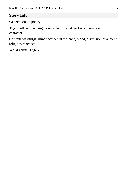## **Story Info**

**Genre:** contemporary

**Tags:** college, teaching, non-explicit, friends to lovers, young adult character

**Content warnings**: minor accidental violence, blood, discussion of ancient religious practices

**Word count:** 12,694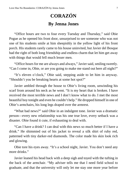# **CORAZÓN By Jenna Jones**

"Office hours are two to four every Tuesday and Thursday," said Obie Pogue as he opened his front door, unsurprised to see someone who was not one of his students smile at him sheepishly in the yellow light of his front porch. His students rarely came to his house uninvited, but Javier del Bosque had the right of both long friendship and endless charm that let him get away with things that would fell much lesser men.

"Office hours for me are always and always," Javier said, smiling sweetly. "Can I come in, Obie, or are you going to make me stand out here all night?"

"It's eleven o'clock," Obie said, stepping aside to let him in anyway. "Shouldn't you be breaking hearts at some hot spot?"

Javier ambled through the house to Obie's living room, unwinding his scarf from around his neck as he went. "It is my heart that is broken. I have received the most terrible news and I don't know what to do. I met the most beautiful boy tonight and even he couldn't help." He dropped himself in one of Obie's armchairs, his long legs draped over the armrest.

"What bad news?" said Obie in an indulgent tone. Javier was a dramatic person—every new relationship was his one true love, every setback was a disaster. Obie found it cute, if exhausting to deal with.

"Can I have a drink? I can deal with this news so much better if I have a drink." He shimmied out of his jacket to reveal a silk shirt of ruby red, patterned with tiny darker-red diamonds. The color made his skin look rich and glowing.

Obie tore his eyes away. "It's a school night, Javier. You don't need any more drinks."

Javier leaned his head back with a deep sigh and toyed with the tufting in the back of the armchair. "My adviser tells me that I need field school to graduate, and that the university will only let me stay one more year before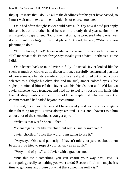they quite insist that I do. But all of the deadlines for this year have passed, so I must wait until next summer—which is, of course, too late."

Obie had often thought Javier could have a PhD by now if he'd just apply himself, but on the other hand he wasn't the only third-year senior in the anthropology department. Not for the first time, he wondered what Javier was doing in anthropology in the first place. Out loud, he said, "What are you planning to do?"

"I don't know, Obie!" Javier wailed and covered his face with his hands. "Tell me what to do. Father always says to take your advice—perhaps it's time I did."

Obie leaned back to take Javier in fully. As usual, Javier looked like he spent as much on clothes as he did on tuition, a carefully constructed persona of carelessness, a hairstyle made to look like he'd just rolled out of bed, colors selected to highlight his olive skin and unusual, amber-colored eyes. Obie sighed, reminded himself that Javier was his friends' son and he'd known Javier since he was a teenager, and tried not to feel ratty beside him in his thin flannel sleep pants and T-shirt so old the graphic of whatever event it commemorated had faded beyond recognition.

He said, "Both your father and I have asked you if you're sure college is the right thing for you. You've always assured us it is, and I haven't told him about a lot of the shenanigans you get up to—"

"What is that word? Shen—Shen—"

"Shenanigans. It's like mischief, but sex is usually involved."

Javier chortled. "I like that word! I am going to use it."

"Anyway," Obie said patiently, "I haven't told your parents about them because I've tried to respect your privacy as an adult."

"Very kind of you," said Javier with a gracious nod.

"But this isn't something you can charm your way past, Javi. Is anthropology really something you want to do? Because if it's not, maybe it's time to go home and figure out what that something really is."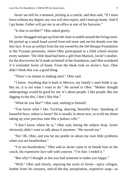Javier sat still for a moment, picking at a cuticle, and then said, "If I must leave without my degree, my visa will also expire, and I must go home. And if I go home, Father will put me in an office at one of his factories."

"Is that so terrible?" Obie asked gently.

Javier shrugged and got up from the chair to amble around the living room. He picked up a small head carved from red stone and ran his thumb over the tiny face. It was an artifact from the site owned by the Del Bosque Foundation in the Yucatan peninsula, where Obie participated in a field school session every summer. The little head had been a gift from Marisol, Javier's mother, for the discoveries he'd made on behalf of the foundation, and Obie wondered if it reminded Javier of home. From the bleak look on Javier's face, Obie didn't think that was a good thing.

"There's no shame in making steel," Obie said.

"I know. Anything that is built in Mexico, my family's steel holds it up. But no, it is not what I want to do." He turned to Obie. "Mother thought anthropology would be good for me. It's about people. I like people. But not digging in the dirt, I don't like that."

"What do you like?" Obie said, smiling to himself.

"You know what I like. Fucking, dancing, beautiful boys. Speaking of beautiful boys, where is Jason? He is usually in about now, to scold me about taking up your precious time like a jealous wife."

"I don't know where he is," Obie said, letting the subject drop. Javier obviously didn't want to talk about it anymore. "He moved out."

"No! Oh, Obie, and you let me prattle on about my own little problems when you are heartbroken."

"I'm not heartbroken," Obie said as Javier came to sit beside him on the couch, his expressive face soft with concern. "I'm fine. I ended it."

"But why? I thought at last you had someone to make you happy."

"Well," Obie said slowly, enjoying the scent of Javier—spicy cologne, leather from his trousers, end-of-the-day perspiration, expensive soap—as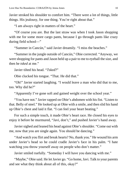Javier stroked his shoulder to comfort him. "There were a lot of things, little things. His jealousy, for one thing. You're right about that."

"I am always right in matters of the heart."

"Of course you are. But the last straw was when I took Jason shopping with me for some more cargo pants, because I go through pants like crazy during field school—"

"Summer in Cancún," said Javier dreamily. "I miss the beaches."

"Summer in the jungle outside of Cancún," Obie corrected. "Anyway, we were shopping for pants and Jason held up a pair to me to eyeball the size, and then he *tsked* at me."

Javier tilted his head. "*Tsked*?"

Obie clucked his tongue. "That. He did that."

"Oh!" Javier started laughing. "I would leave a man who did that to me, too. Why did he?"

"Apparently I've gone soft and gained weight over the school year."

"You have not." Javier rapped on Obie's abdomen with his fist. "Listen to that. Belly of steel." He looked up at Obie with a smile, and then slid his hand up Obie's chest and laid it flat. "I can feel your heart beating."

For such a simple touch, it made Obie's heart race. He closed his eyes to enjoy it before he murmured, "Javi, don't," and pushed Javier's hand away.

Javier sighed and leaned his head against Obie's shoulder. "Come out with me, now that you are single again. You should be dancing."

"And watch you flirt and break hearts? No, thank you." He wound his arm under Javier's head so he could cradle Javier's face in his palm. "I hate watching you throw yourself away on people who don't matter."

Javier smiled ruefully. "Someday I will have you dancing with me."

"Maybe," Obie said. He let Javier go. "Go home, Javi. Talk to your parents and see what they think about all of this, okay?"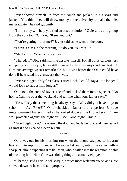Javier shoved himself up from the couch and picked up his scarf and jacket. "You think they will throw money at the university to make them let me graduate," he said gloomily.

"I think they will help you find an actual solution," Obie said as he got up from the sofa too. "C'mon, I'll see you out."

"You're getting rid of me?" Javier said as he went to the door.

"I have a class in the morning. So do you, as I recall."

"Maybe I do. What is tomorrow?"

"Thursday," Obie said, smiling despite himself. For all of his carelessness and party-boy lifestyle, Javier still managed to turn in essays and pass tests. A B-minus average wasn't remarkable, but it was better than Obie could have done if he treated his classwork that way.

Javier shrugged. "My first class is after lunch. I could stay a little longer. I would love to stay a little longer."

Obie took the ends of Javier's scarf and tucked them into his jacket. "Go home. Call me over the weekend and tell me what your father says."

"He will say the same thing he always says. 'Why did you have to go to school in *del Norte*?'" Obie chuckled—Javier did a perfect Enrique imitation—and Javier smiled as he looked down at the knotted scarf. "I am well protected against the night air, I see. Good night, Obie."

"Good night, Javi." He opened the door and let Javier out, and then leaned against it and exhaled a deep breath.

\*\*\*\*

Obie was out for his morning run when the phone strapped to his arm buzzed, interrupting his music. He tapped it and greeted the caller with a sharp, "Hello?" expecting it to be Jason, who'd fallen into the regrettable habit of scolding him when Obie was doing things he actually enjoyed.

"Oberon," said Enrique del Bosque, a much more welcome voice, and Obie slowed down so he could talk properly.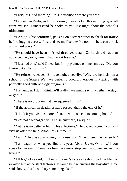"Enrique! Good morning. Or is it afternoon where you are?"

"I am in Sao Paulo, and it is morning. I was woken this morning by a call from my son. I understand he spoke to you last night about the school's ultimatum"

"He did," Obie confirmed, pausing on a street corner to check for traffic before jogging across. "It sounds to me like they've got him between a rock and a hard place."

"He should have been finished three years ago. Or he should have an advanced degree by now. I had two at his age."

"I just had one," said Obie, "but I only planned on one, anyway. Did you figure out a plan for him?"

"He refuses to leave." Enrique sighed heavily. "Why did he insist on a school in the States? We have perfectly good universities in Mexico, with perfectly good anthropology programs."

"I remember. I don't think he'll really have much say in whether he stays or goes."

"There is no program that can squeeze him in?"

"If the application deadlines have passed, that's the end of it."

"I think if you visit us more often, he will concede to coming home."

"He's not a teenager with a crush anymore, Enrique."

"Yet he is no better at hiding his affections." He paused again. "You will visit us after the field school this summer?"

"I will." He was approaching his house now. "I've missed the hacienda."

"I am eager for what you find this year. About Javier, Obie—will you speak to him again? Convince him it is time to stop being a student and earn a living?"

"I'll try," Obie said, thinking of Javier's face as he described the life that awaited him at the steel factories. It would be like burying the boy alive. Obie said slowly, "Or I could try something else."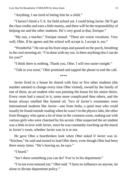"Anything. I am tired of letting him be a child."

"I haven't hired a T.A. for field school yet. I could bring Javier. He'll get the class credits and earn a little money, and there will be the responsibility of helping me and the other students. He's very good at that, Enrique."

"My son, a teacher," Enrique mused. "There are worse vocations. Very well, Obie. If he agrees and the school will accept it, I accept it, too."

"Wonderful." He ran up his front steps and paused on the porch, breathing in the cool morning air. "I'm done with my run. Is there anything else I can do for you?"

"I think there is nothing. Thank you, Obie. I will rest easier tonight."

"Talk to you soon," Obie promised and tapped the phone to end the call.

\*\*\*\*

Javier lived in a house he shared with four or five other students (the number seemed to change every time Obie visited), owned by the family of one of them, an art student who was painting the house for his senior thesis. Every room had a mural in it, some more complicated than others, and the house always smelled like linseed oil. Two of Javier's roommates were international students like Javier—one from India, a quiet man who could usually be found outside reading when he wasn't in the physics labs, the other from Hungary who spent a lot of time in the common room, making out with various girls who were charmed by his accent. Obie suspected the art student was a little in love with Javier, since he was constantly touching up the mural in Javier's room, whether Javier was in it or not.

He gave Obie a heartbroken look when Obie asked if Javier was in. "Kitchen," he said and turned to lead Obie there, even though Obie had been there many times. "He's leaving us, he says."

"I heard."

"Isn't there something you can do? You're in his department."

"I'm not even tenured yet," Obie said. "I have no influence on anyone, let alone to dictate department policy."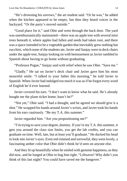"He's drowning his sorrows," the art student said. "Or he was," he added when the kitchen appeared to be empty, but then they heard voices in the backyard. "Or the party's moved outside."

"Good place for it," said Obie and went through the back door. The yard was unenthusiastically maintained—there was an apple tree with several mini trees beneath it, where apples had fallen and seeds had taken root, and there was a space intended to be a vegetable garden that inevitably grew nothing but zucchini, which none of the students ate. Javier and Sanjay were in deck chairs under the apple tree, Sanjay looking on with bemusement as Javier rambled in Spanish about having to go home without graduating.

"Professor Pogue," Sanjay said with relief when he saw Obie. "Save me."

"Gladly." He sat on Javier's deck chair and Javier gave him his most mournful smile. "I talked to your father this morning," he told Javier in Spanish. When Javier had indulged too much it was as if he forgot every word of English he'd ever learned.

Javier covered his ears. "I don't want to know what he said. He's already bought me the plane ticket home, hasn't he?"

"Not yet," Obie said. "I had a thought, and he agreed we should give it a shot." He wrapped his hands around Javier's wrists, and Javier took his hands from his ears cautiously. "Be my T.A. this summer."

Javier regarded him. "Are you propositioning me?"

"I'm trying to save your degree, dummy. If you're my T.A. this summer, it gets you around the class size limits, you get the lab credits, and you can graduate on time. Well, late, but at least you'll graduate." He ducked his head to look into Javier's eyes. Even red-rimmed and sorrowful, they were lovely, a fascinating amber color that Obie didn't think he'd seen on anyone else.

And they lit up beautifully when he smiled with genuine happiness, asthey did now, and he lunged at Obie to hug him tight. "Lifesaver! Why didn't you think of this last night? You could have saved me the hangover."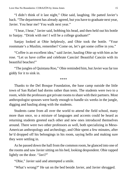"I didn't think of it last night," Obie said, laughing. He patted Javier's back. "The department has already agreed, but you have to graduate next year, Javier. You hear me? You walk next year."

"I hear, I hear," Javier said, bobbing his head, and then held out his bottle to Sanjay. "Drink with me! I will be a college graduate!"

Sanjay looked at Obie helplessly, and Obie took the bottle. "Your roommate's a Muslim, remember? Come on, let's get some coffee in you."

"Coffee is an excellent idea," said Javier, hauling Obie up with him as he rose. "Let us have coffee and celebrate Cancún! Beautiful Cancún with its beautiful beaches!"

"The jungles of Quintana Roo," Obie reminded him, but Javier was far too giddy for it to sink in.

\*\*\*\*

Thanks to the Del Bosque Foundation, the base camp outside the little town of San Rafael had dorms rather than tents. The students were two to a room, while the professors got private roomsto share with their partners. Most anthropologist spouses were hardy enough to handle six weeks in the jungle, digging and hauling along with the students.

Students came from all over the world to attend the field school, many more than once, so a mixture of languages and accents could be heard as returning students greeted each other and new ones introduced themselves around. There were two other professors as well, both specializing in Meso-American anthropology and archeology, and Obie spent a few minutes, after he'd dropped off his belongings in his room, saying hello and making sure they were settling in.

As he passed down the hall from the common room, he glanced into one of the rooms and saw Javier sitting on his bed, looking despondent. Obie rapped lightly on the door. "Javi?"

"Obie," Javier said and attempted a smile.

"What's wrong?" He sat on the bed beside Javier, and Javier shrugged.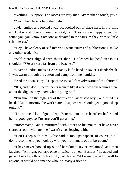"Nothing, I suppose. The rooms are very nice. My mother's touch, yes?"

"Yes. This place is her other baby."

Javier smiled and looked away. He looked out of place here, in a T-shirt and khakis, and Obie supposed he felt it, too. "They were so happy when they found you, you know. Someone as devoted to the cause as they, with so little self-interest."

"Hey, I have plenty of self-interest. I want tenure and publications just like any other academic."

"Self-interest aligned with theirs, then." He leaned his head on Obie's shoulder. "We are very far from the beaches."

"Over a hundred miles." He hesitantly laid a hand on Javier'sslender back. It was warm through the cotton and damp from the humidity.

"And the town is tiny. I suspect the social life revolves around the church."

"It is, and it does. The residents seem to like it when we have lectures there about the dig, so they know what's going on."

"I'm sure it's the highlight of their year," Javier said wryly and lifted his head. "And tomorrow the work starts. I suppose we should get a good sleep tonight."

"I recommend lots of good sleep. Your roommate has been here before and he's a good guy, so I'm sure you'll get along."

"Roommate," Javier murmured with a twist to his mouth. "I have never shared a room with anyone I wasn't also sleeping with."

"Don't sleep with him," Obie said. "Hookups happen, of course, but I don't recommend you hook up with your roommate out of boredom."

"I have never hooked up out of boredom!" Javier exclaimed, and then laughed. "All right, perhaps once or twice… a year. Besides," he added and gave Obie a look through his thick, dark lashes, "if I were to attach myself to anyone, it would be someone who is already a friend."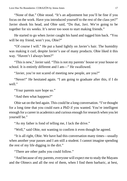"None of that." Obie stood. "It's an adjustment but you'll be fine if you focus on the work. Have you introduced yourself to the rest of the class yet?" Javier shook his head, and Obie said, "Do that, Javi. We're going to be together for six weeks. It's never too soon to start making friends."

He started to go when Javier caught his hand and tugged him back. "You will be my friend, won't you, Obie?"

"Of course I will." He put a hand lightly on Javier's hair. The humidity was making it curl, despite Javier's use of many products. Obie liked it this way. "Haven't I always been?"

"This is new," Javier said. "This is not my parents' house or your house or school. It is entirely different and I am—" He swallowed.

"Javier, you're not scared of meeting new people, are you?"

"Never!" He hesitated again. "I am going to graduate after this, if I do well."

"Your parents sure hope so."

"And then what happens?"

Obie sat on the bed again. This could be a long conversation. "I've thought for a long time that you could earn a PhD if you wanted. You're intelligent enough for a career in academics and curious enough for research when you let yourself be."

"As my father is fond of telling me, I lack the drive."

"Well," said Obie, not wanting to confirm it even though he agreed.

"It is all right, Obie. We have had this conversation many times—usually when another year passes and I am still a student. I cannot imagine spending the rest of my life digging in the dirt."

"There are other paths you could follow."

"And because of my parents, everyone will expect me to study the Mayans and the Olmecs and all the rest of them, when I find them barbaric, at best,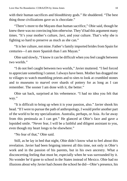with their human sacrifices and bloodthirsty gods." He shuddered. "The best thing those civilizations gave us is chocolate."

"There's more to the Mayans than human sacrifice," Obie said, though he knew there was no convincing him otherwise. They'd had this argument many times. "It's your mother's culture, Javi, and your culture. That's why she is fighting so hard to preserve as much as she can."

"It is her culture, not mine. Father's family imported brides from Spain for centuries—I am more Spanish than I am Mayan."

Obie said slowly, "I know it can be difficult when you feel caught between two worlds."

"I do not feel caught between two worlds," Javier muttered. "I feel forced to appreciate something I cannot. I always have been. Mother has dragged me to villages to watch mumbling priests and to sites to look at crumbled stones and to museums to marvel over shards of pottery for as long as I can remember. The sooner I am done with it, the better."

Obie sat back, surprised at his vehemence. "I had no idea you felt that way."

"It is difficult to bring up when it is your passion, also." Javier shook his head. "If I were to pursue the path of anthropology, I would prefer another part of the world to be my specialization. Australia, perhaps, or Asia. As far away from this peninsula as I can get." He glanced at Obie's face and gave a lopsided smile. "Never fear, I will be a faithful and diligent assistant to you, even though my heart longs to be elsewhere."

"No fear of that," Obie said.

Still, as he lay in bed that night, Obie didn't know what to feel about this revelation. Javier had been feigning interest all this time, not only in Obie's work and in the passion of his parents, but in his own ancestry. What a disconcerting feeling that must be, especially when he was surrounded by it. No wonder he'd gone to school in the States instead of Mexico. Obie had no illusions about why Javier had chosen the school he did—Obie's presence, his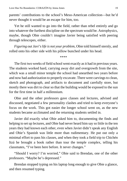parents' contributions to the school's Meso-American collection—but he'd never thought it would be an escape for him, too.

Yet he still wanted to go into the field, rather than rebel entirely and go into whatever the furthest discipline on the spectrum would be. Astrophysics, maybe, though Obie couldn't imagine Javier being satisfied with peering through telescopes, either.

*Figuring out Javi's life is not your problem*, Obie told himself sternly, and rolled onto his other side with his pillow bunched under his head.

\*\*\*\*

The first two weeks of field school went exactly as it had in previous years. The students worked hard, carrying away dirt and overgrowth from the site, which was a small minor temple the school had unearthed two years before and now had authorization to properly excavate. There were carvings to clean, sketch and photograph, and artifacts to document and carefully store, but mostly there was dirt to clear so that the building would be exposed to the sun for the first time in half a millennium.

Obie and the other professors gave classes and lectures, advised and discussed, negotiated a few personality clashes and tried to keep everyone's focus on the work. This got easier the longer school went on, as the new students became acclimated and the returning students settled in.

Javier did exactly what Obie asked him to, documenting the finds and helping to set up lectures, and Obie had never heard him say so little in the ten years they had known each other, even when Javier didn't speak any English and Obie's Spanish was little more than rudimentary. He put out only a minimal effort to pass his classes, and when they took a field trip to Chichén Itzá he brought a book rather than tour the temple complex, telling his classmates, "I've been here before. It never changes."

"Should I worry? I'm worried," Obie said to Brendan, one of the other professors. "Maybe he's depressed."

Brendan stopped typing on his laptop long enough to give Obie a glance, and then resumed typing.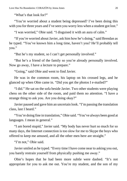"What's that look for?"

"You're worried about a student being depressed? I've been doing this with you for three years and I've seen you worry less when a student got lost."

"I was worried," Obie said. "I disguised it with an aura of calm."

"If you're worried aboutJavier, ask him how he's doing," said Brendan as he typed. "You've known him a long time, haven't you? He'll probably tell you."

"But he's my student, so I can't get personally involved."

"But he's a friend of the family so you're already personally involved. Now go away, I have a lecture to prepare."

"Going," said Obie and went to find Javier.

He was in the common room, his laptop on his crossed legs, and he glanced up when Obie came in. "Did you get the photos I e-mailed?"

"I did." He sat on the sofa beside Javier. Two other students were playing chess on the other side of the room, and paid them no attention. "I have a strange thing to ask you. Are you doing okay?"

Javier paused and gave him an uncertain look. "I'm passing the translation class, last I heard."

"You're doing fine in translation," Obie said. "You've always been good at languages. I mean in general."

"I am bored stupid," Javier said. "My body has never hurt so much for so many days, the Internet connection is too slow for me to Skype the boys who offered to keep me amused, and all the other men here are straight."

"I'm not," Obie said.

Javier smiled as he typed. "Every time I have come near to asking you out, you barely restrain yourself from physically pushing me away."

Obie's hopes that he had been more subtle were dashed. "It's not appropriate for you to ask me out. You're my student, and the son of my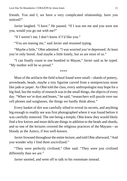friends. You and I, we have a very complicated relationship, have you noticed?"

Javier laughed. "I have." He paused. "If I was not me and you were not you, would you go out with me?"

"If I weren't me, I don't know if I'd like you."

"You are teasing me," said Javier and resumed typing.

"Maybe a little," Obie admitted. "I was worried you're depressed. At least you're only bored. And maybe a little lonely, but so are most of us."

"I can finally count to one hundred in Mayan," Javier said as he typed. "My mother will be so proud."

\*\*\*\*

Most of the artifacts the field school found were small—shards of pottery, arrowheads, beads, maybe a tiny figurine carved from a semiprecious stone like jade or jasper. As Obie told the class, every anthropologist may hope for a big find, but the reality of research was in the small things, the objects of every day. "When we're dust and bones," he said, "researchers will puzzle over our cell phones and sunglasses, the things we hardly think about."

Every basket of dirt was carefully sifted to reveal its secrets, and anything big enough to readily see was first photographed where it was found before it was carefully removed. The site being a temple, Obie knew they would likely find a few knives and more delicate things in addition to the beads and shards, and so one of the lectures covered the religious practices of the Mayans—as bloody as the Aztecs, if less well-known.

Javier frowned throughout the entire lecture, and told Obie afterward, "And you wonder why I find them uncivilized."

"They were perfectly civilized," Obie said. "They were just civilized differently than we are."

Javier snorted, and went off to talk to his roommate instead.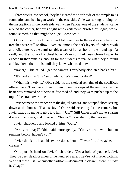Three weeks into school, they had cleared the north side of the temple to its foundation and had begun work on the east side. Obie was taking rubbings of the inscriptions in the north side wall when Felicia, one of the students, came around the corner, her eyes alight with excitement. "Professor Pogue, we've found something that might be huge. Come see!"

Obie climbed out of the pit and followed her to the east side, where the trenches were still shallow. Even so, among the dark layers of undergrowth and soil, there was the unmistakable gleam of human bone—the round top of a skull, and the ridge of a cheekbone. More soil had been cleared away to expose further remains, enough for the students to realize what they'd found and lay down their tools until they knew what to do next.

"Javier," Obie called, "get the camera. Everybody else, step back a bit."

"It's bodies, isn't it?" said Felicia. "We found bodies!"

"What this likely is," Obie said, "is the skeletal remains of the sacrifices offered here. They were often thrown down the steps of the temple after the heart was removed or otherwise disposed of, and they were pushed up to the top of the strata over time."

Javier came to the trench with the digital camera, and stopped short, staring down at the bones. "Thanks, Javi," Obie said, reaching for the camera, but Javier made no move to give it to him. "Javi?" Still Javier didn't move, staring down at the bones, and Obie said, "Javier," more sharply than normal.

Javier shuddered and looked at him. "Obie."

"Are you okay?" Obie said more gently. "You've dealt with human remains before, haven't you?"

Javier shook his head, his expression solemn. "Never. It's always been… cleaner."

Obie put his hand on Javier's shoulder. "Get a hold of yourself, Javi. They've been dead for at least five hundred years. They're not murder victims. We treat these just like any other artifact—document it, clean it, store it, study it. Okay?"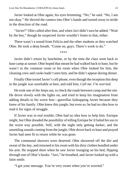Javier looked at Obie again, his eyes brimming. "No," he said. "No, I am not okay." He shoved the camera into Obie's hands and turned away to stride in the direction of the road.

"Javier!" Obie called after him, and when Javi didn't turn he added, "Wait by the bus," though he suspected Javier wouldn't listen to that, either.

There wasn't a sound from Felicia and the other students as they watched Obie. He took a deep breath. "Come on, guys. There's work to do."

\*\*\*\*

Javier didn't return by lunchtime, or by the time the class went back to base camp at sunset. Obie hoped that meant he had walked back to base, but he wasn't in the common room or his room when Obie looked for him, the cleaning crew and cooks hadn't seen him, and he didn't appear during dinner.

Finally Obie texted Javier's cell phone, even though the reception this deep in the jungle was unreliable at best, and told him, *Call me. I'm worried.*

He took one of the Jeeps out, to check the roads between camp and the site. He drove slowly with the lights on, and tried to keep his imagination from adding details to his worst fear—guerrillas kidnapping Javier because they knew of his family. Obie knew this jungle, but even so, he had no idea how to read it for signs of struggle.

If Javier was in real trouble, Obie had no idea how to help him. Enrique might, but Obie dreaded the possibility of telling Enrique he'd failed hisson in the worst way possible. Still, with the night only getting darker, and the unsettling sounds coming from the jungle, Obie drove back to base and prayed Javier had seen fit to return while he was gone.

The communal showers were deserted. Obie showered off the dirt and sweat of the day, and returned to his room with his dirty clothes bundled under his arm. He stopped short when he saw Javier lounging on his bed, flipping through one of Obie's books. "Javi," he breathed, and Javier looked up with a faint smile.

"I got your message. You're very sweet when you're worried."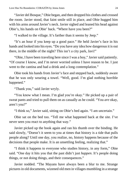"Javier del Bosque," Obie began, and then dropped his clothes and crossed the room. Javier stood, that faint smile still in place, and Obie hugged him with his arms around Javier's neck. Javier sighed and leaned his head against Obie's, his hands on Obie' back. "Where have you been?"

"I walked to the village. It's farther than it seems by Jeep."

"It's an hour if you keep up a good pace." He held Javier's face in his hands and looked into his eyes. "Do you have any idea how dangerous it is out there, in the middle of the night? This isn't a city park, Javi!"

"Obie, I have been traveling here since I was a boy," Javier said patiently. "Of course I know, and I'm never worried unless I have reason to be. I just went to the cantina and had a drink and a long contemplation."

Obie took his hands from Javier's face and stepped back, suddenly aware that he was only wearing a towel. "Well, good. I'm glad nothing horrible happened."

"Thank you," said Javier wryly.

"You know what I mean. I'm glad you're okay." He picked up a pair of sweat pants and tried to pull them on as casually as he could. "You *are* okay, aren't you?"

"I think so," Javier said, sitting on Obie's bed again. "I am uncertain."

Obie sat on the bed too. "Tell me what happened back at the site. I've never seen you react to anything that way."

Javier picked up the book again and ran his thumb over the binding. He said slowly, "Doesn't it seem to you at times that history is a tide that pulls people along? Until one day, you realize, no, history happens because of the decisions that people make. It is an unsettling feeling, realizing that."

"I think it happens to everyone who studies history, in any form," Obie said. "One day it hits you that the past didn't just *happen*. It's people doing things, or not doing things, and their consequences."

Javier nodded. "The Mayans have always been a blur to me. Strange pictures in old documents, wizened old men in villages mumbling in a strange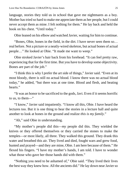language, stories they told us in school that gave me nightmares as a boy. Mother hastried so hard to make me appreciate them as her people, but I could never accept them as mine. I felt nothing for them." He lay back and held the book on his chest. "Until today."

Obie leaned on his elbow and watched Javier, waiting for him to continue.

"Bones, Obie, bones in the field, in the dirt. I have never seen them so… real before. Not a picture or a neatly-wired skeleton, but actual bones of actual people…" He looked at Obie. "It made me want to weep."

Obie stroked Javier's hair back from his forehead. "It can feel pretty raw, experiencing that for the first time. But you have to develop some objectivity. Bones are part of the job."

"I think this is why I prefer the art side of things," Javier said. "Even at its most bloody, there is still no actual blood. I know there was no actual blood today," he added, "but there was at one time. Blood and flesh, and beating hearts."

"It was an honor to be sacrificed to the gods, Javi. Even if it seems horrific to us, to them—"

"I know," Javier said impatiently. "I know all this, Obie. I have heard the lectures too. But it is one thing to hear the stories in a lecture hall and quite another to look at bones in the ground and realize *this is my family*."

"Ah," said Obie in understanding.

"My mother's people did this—*my* people did this. They wielded the knives or they offered themselves or they carried the stones to make the temples—or most likely, all three. They walked this ground. They drank this water and breathed this air. They lived and died, fought wars and grew food, hunted and prayed—and they are mine, Obie. I am here because of them." He flexed his fingers. "I have my mother's hands, I am told. I have to wonder what those who gave her those hands did with them."

"Nothing you need to be ashamed of," Obie said. "They lived their lives the best way they knew how. All the ancients did." He lay down near Javier so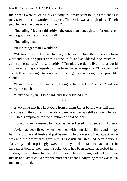their heads were touching. "As bloody as it may seem to us, as violent as it may seem, it's still worthy of respect. The world was a tough place. Tough people were the ones who survived."

"Including," Javier said softly, "the ones tough enough to offer one's self to the gods, so the rain would fall."

"Including that."

"It is stronger than I would be."

"Me too, I'd say." He tried to imagine Javier climbing the stone steps to an altar and a waiting priest with a stone knife, and shuddered. "As much as I admire the culture," he said softly, "I'm glad we don't live in that world anymore," and got a lopsided smile from Javier in response. "I'm even glad you felt safe enough to walk to the village, even though you probably shouldn't—"

"I am a native son," Javier said, laying his hand on Obie's cheek, "and you worry too much."

"Only about you," Obie said, and Javier kissed him.

\*\*\*\*

Everything that had kept Obie from kissing Javier before was still true— Javi was still the son of his friends and mentors, he was still a student, he was still Obie's employee for the duration of field school.

None of it really seemed to matter as Javier kissed him, gentle and hungry.

Javier had been fifteen when they met, with long skinny limbs and floppy hair, handsome and fresh and just beginning to understand how attractive he was and the power that gave him. His crush on Obie had been obvious, flattering, and surprisingly sweet, as they tried to talk to each other in languages both of them barely spoke. Obie had been twenty, absorbed in his studies, overwhelmed by the del Bosques' interest in him, and he knew then that he and Javier could never be more than friends. Anything more was much too complicated.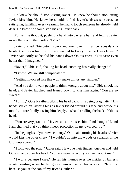He knew he should stop kissing Javier. He knew he should stop letting Javier kiss him. He knew he shouldn't find Javier's kisses so sweet, so satisfying, fulfilling every yearning he had to touch someone he already held dear. He knew he should stop kissing Javier back.

*Not yet,* he thought, pushing a hand into Javier's hair and letting Javier move them onto their sides. *Not yet.*

Javier pushed Obie onto his back and knelt over him, amber eyes dark, a hesitant smile on his lips. "I have wanted to kiss you since I was fifteen," Javier said softly as he slid his hands down Obie's chest. "You taste even better than I imagined."

"Javier," Obie said, shaking his head, "nothing has really changed."

"I know. We are still complicated."

"Getting involved like this won't make things any simpler."

"And you don't want people to think wrongly about me." Obie shook his head, and Javier laughed and leaned down to kiss him again. "You are so sweet."

"I think," Obie breathed, tilting his head back, "it's being pragmatic." His hands settled on Javier's hips as Javier kissed around his face and beside his mouth, before finally kissing him deeply, his hand cradling the back of Obie's head.

"You are very practical," Javier said as he kissed him, "and thoughtful, and I am charmed that you think I need protection in my own country."

"In the jungles of your own country," Obie said, turning his head so Javier would kiss the other cheek. "I wouldn't go into the woods or swamps in the U.S. unprepared."

"I followed the road," Javier said. He wove their fingers together and held Obie's hands over his head. "You are sweet to worry so much about me."

"I worry because I care." He ran his thumbs over the insides of Javier's wrists, smiling when he felt goose bumps rise on Javier's skin. "Not just because you're the son of my friends, either."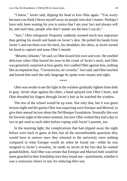"I know," Javier said, dipping his head to kiss Obie again. "You worry because you think I throw myself away on people who don't matter. Perhaps I have only been waiting for you to notice that I am your Javi and always will be, and until then, people who don't matter are the best I can do."

"Javi," Obie whispered. Propriety suddenly seemed much less important than getting his mouth and hands on Javier's skin. He pulled his hands from Javier's and ran them over his back, his shoulders, his chest, as Javier turned his head to capture and tease Obie's mouth.

"*Bésame*, *bésame*," he said, so Obie kissed him over and over. He smelled delicious when Obie buried his nose in the crook of Javier's neck, and Obie was genuinely surprised at how gently Javi cradled Obie against him, nothing like an impatient boy. "*Corazoncito, mi corazón*," Javisaid, and Obie touched and kissed him until the only language he spoke were moans and sighs.

\*\*\*\*

Obie was awake to see the light in the window gradually lighten from dark to gray. Javier slept against his chest, a hand splayed over Obie's heart, and Obie threaded his fingers through Javier's hair as he watched the window.

The rest of the school would be up soon. Not only that, but it was guest lecture night and the guests Obie was expecting were Enrique and Marisol, to give their annual lecture about the Del Bosque Foundation. Normally this was his favorite night of the entire summer, but now Obie wished they had a day or two to get used to each other before coping with Javier's parents, too.

In the morning light, the complications that had slipped away the night before were back to gnaw at him, but all the uncomfortable questions they would have to answer once they returned to the university were nothing compared to what Enrique would do when he found out—while he was resigned to Javier's sexuality, he made no secret of the fact that he wanted grandchildren. And Obie was certain that Enrique and Marisol both would be more guarded in their friendship once they found out—punishment, whether it was a conscious choice or not, for seducing their son.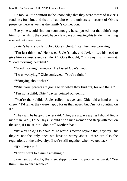He took a little comfort in the knowledge that they were aware of Javier's fondness for him, and that he had chosen the university because of Obie's presence there as well as the family's connection.

Everyone would find out soon enough, he supposed, but that didn't stop him from wishing they could have a few days of keeping this tender little thing a secret between them.

Javier's hand slowly rubbed Obie's chest. "I can feel you worrying."

"I'm just thinking." He kissed Javier's hair, and Javier lifted his head to give him a sweet, sleepy smile. *Ah,* Obie thought, *that's why this is worth it.* "Good morning, beautiful."

"Good morning, *hermoso*." He kissed Obie's mouth.

"I was worrying," Obie confessed. "You're right."

"Worrying about what?"

"What your parents are going to do when they find out, for one thing."

"I'm not a child, Obie," Javier pointed out gently.

"You're their child." Javier rolled his eyes and Obie laid a hand on his cheek. "I'd rather they were happy for us than upset, but I'm not counting on it."

"They will be happy," Javier said. "They are always saying I should find a nice man. Well, Father says I should find a nice woman and sleep with men on the side, if I must, but I don't tell Mother that."

"It's a bit cold," Obie said. "The world's moved beyond that, anyway. But they're not the only ones we have to worry about—there are also the regulations at the university. If we're still together when we get back—"

"If?" Javier said.

"I don't want to assume anything."

Javier sat up slowly, the sheet slipping down to pool at his waist. "You think I am so changeable?"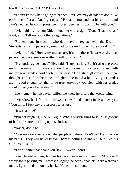"I don't know what's going to happen, Javi. We may decide we don't like each other after all. Don't get upset." He sat up too, and put his arms around Javi's neck so he could press their noses together. "I want to be with you."

Javier laid his head on Obie's shoulder with a sigh. "Good. That is what I want, also. Tell me about these regulations."

"Students and instructors who date have to register with the Dean of Students, and sign papers agreeing not to sue each other if they break up."

Javier huffed. "How very mercenary. It's like those 'in case of divorce' papers. People assume everything will go wrong."

"Prenuptial agreements," Obie said. "Isuppose it is. But it's also to protect each other—so, for instance, you don't accuse me of making you sleep with me for good grades. And a job, in this case." He sighed, gloomy at the mere thought, and said in the hopes to lighten the mood a bit, "But your grades aren't good enough for that to be true. Anybody you slept with for grades should give you a better deal."

The moment he felt Javier stiffen, he knew he'd said the wrong thing.

Javier drew back from him, brows furrowed and thunder in his amber eyes. "You think I fuck my professors for *grades*?"

"It was a joke!"

"I'm not laughing, Oberon Pogue. What a terrible thing to say." He got out of bed and started picking up his clothes.

"Javier, don't go."

"You are so worried about what people will think? Don't be." He pulled on his pants. "They will never know. There is nothing to know." He pulled his shirt over his head.

"I don't think that about you, Javi. I swear I don't."

Javier turned to him, hurt in his face like a mortal wound. "And don't worry about passing me, Professor Pogue," he nearly spat. "I'll earn whatever marks I get—and not on my back." He let himself out.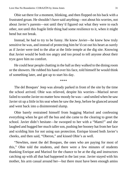Obie sat there for a moment, blinking, and then flopped on his back with a frustrated groan. He shouldn't have said anything—not about his worries, not about Javier's parents—not until they'd figured out what they were to each other, not until this fragile little thing had some resilience to it, when it might bend but not break.

Instead, he had to try to be funny. He knew Javier—he knew how truly sensitive he was, and instead of protecting him he'd cut out his heart as surely as if Javier were tied to the altar at the little temple at the dig site. Knowing that Javier would be both too angry and too proud to tell anyone about their tryst gave him no comfort.

He could hear people chatting in the hall as they walked to the dining room or the showers. He rubbed his hand over his face, told himself he would think of something later, and got up to start his day.

\*\*\*\*

The del Bosques' Jeep was already parked in front of the site by the time the school arrived. Obie was relieved, despite his worries—Marisol never failed to soothe Javier no matter how moody he was—and smiled when he saw Javier sit up a little in his seat when he saw the Jeep, before he glanced around and went back into a disinterested slump.

Obie barely restrained himself from hugging Marisol and confessing everything when he got off the bus and she came to the clearing to greet the school. Javier didn't hesitate—he swooped to her with a "Mami!" and she laughed and hugged her much taller son, pushing her booney hat from her face and scolding him for not using sun protection. Enrique kissed both Javier's cheeks, and then said, "Oberon," and kissed Obie's as well.

"Newbies, meet the del Bosques, the ones who are paying for most of this," Obie told the students, and there were a few minutes of students thanking Enrique and Marisol for the chance to be at the dig and instructors catching up with all that had happened in the last year. Javier stayed with his mother, his arm casual around her—but there must have been enough amiss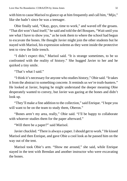with him to cause Marisol to glance up at him frequently and call him, "*Mijo*," like she hadn't since he was a teenager.

Obie finally said, "Okay, guys, time to work," and waved off the groans. "That dirt won't haul itself," he said and told the del Bosques, "Wait until you see what I have to show you," as he took them to where the school had begun to excavate the bones. He thought Javier might join the other students but he stayed with Marisol, his expression solemn as they went inside the protective tent to view the little trench.

"I didn't expect this," Marisol said. "It is strange sometimes, to be so confronted with the reality of history." She hugged Javier to her and he quirked a tiny smile.

"That's what I said."

"I think it's necessary for anyone who studies history," Obie said. "It takes it from the abstract to something concrete. It reminds us we're truth-hunters." He looked at Javier, hoping he might understand the deeper meaning Obie desperately wanted to convey, but Javier was gazing at the bones and didn't look up.

"They'll make a fine addition to the collection," said Enrique. "I hope you will want to be on the team to study them, Oberon."

"Bones aren't my area, really," Obie said. "I'll be happy to collaborate with whoever studies them for the paper afterward."

"Will there be a paper?" said Marisol.

Javier chuckled. "There is always a paper. Ishould get to work." He kissed Marisol and then Enrique, and gave Obie a cool look as he passed him on the way out of the tent.

Marisol took Obie's arm. "Show me around," she said, while Enrique stayed in the tent with Brendan and another instructor who were excavating the bones.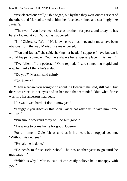"We cleared one wall," Obie began, but by then they were out of earshot of the others and Marisol turned to him, her face determined and startlingly like Javier's.

"The two of you have been close as brothers for years, and today he has barely looked at you. What has happened?"

"I—" Obie said, "We—" He knew he was blushing, and it must have been obvious from the way Marisol's eyes widened.

"You and Javier," she said, shaking her head. "I suppose I have known it would happen someday. You have always had a special place in his heart."

"I've fallen off the pedestal," Obie replied. "I said something stupid and now he thinks I think he's a slut."

"Do you?" Marisol said calmly.

"No. Never."

"Then what are you going to do about it, Oberon?" she said, still calm, but there was steel in her eyes and in her tone that reminded Obie what fierce warriors her ancestors had been.

He swallowed hard. "I don't know yet."

"I suggest you discover this soon. Javier has asked us to take him home with us"

"I'm sure a weekend away will do him good."

"He wants to come home for good, Oberon."

For a moment, Obie felt as cold as if his heart had stopped beating. "Without his degree?"

"He said he is done."

"He needs to finish field school—he has another year to go until he graduates—"

"Which is why," Marisol said, "I can easily believe he is unhappy with you."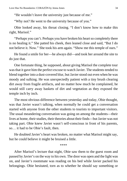"He wouldn't leave the university just because of me."

"Why not? He went to the university because of you."

Obie looked away, his throat closing. "I don't know how to make this right, Marisol."

"Perhaps you can't. Perhaps you have broken his heart so completely there is no healing it." She patted his cheek, then leaned close and said, "But I do not believe it. Now." She took his arm again. "Show me this temple of ours."

He found a smile for her—he always did—and took her around the site to do just that.

One fortunate thing, he supposed, about giving Marisol the complete tour was that it gave him the perfect excuse to watch Javier. The students tended to blend together into a dust-covered blur, but Javier stood out even when he was moody and sulking. He was unexpectedly patient with a tiny brush clearing dirt away from fragile artifacts, and no matter how much he complained, he would still carry away baskets of dirt and vegetation as they exposed the temple inch by inch.

The most obvious difference between yesterday and today, Obie thought, was that Javier wasn't talking, when normally he could get a conversation started with anyone from the other students to tourists to important visitors. The usual meandering conversation was going on among the students—their lives at home, their studies, their theories about their finds—but Javier was not taking part. Obie knew Javier wasn't self-conscious in front of his parents, so… it had to be Obie's fault, then.

He doubted Javier's heart was broken, no matter what Marisol might say, but he could believe it might be bruised a little.

\*\*\*\*

After Marisol's lecture that night, Obie saw them to the guest room and passed by Javier's on the way to his own. The door was open and the light was on, and Javier's roommate was reading on his bed while Javier packed his belongings. Obie hesitated, torn as to whether he should say something or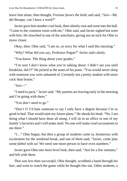leave him alone, then thought, *Fortune favors the bold,* and said, "Javi—Mr. del Bosque, can I have a word?"

Javier gave him another cool look, then silently rose and went into the hall. "Come to the common room with me," Obie said, and Javier sighed but went with him. He slouched in one of the armchairs, giving not an inch for Obie to move closer.

Okay, then. Obie said, "I am so, so sorry for what I said this morning."

"Why? What did you say, Professor Pogue?" Javier said calmly.

"You know. The thing about your grades."

"I'm sure I don't know what you're talking about. I didn't see you until breakfast, did I?" He picked at the seam of his jeans. "You would never sleep with someone you were ashamed of. Certainly not a pretty student with more cock than brains."

"Javi—"

"I need to pack," Javier said. "My parents are leaving early in the morning and I'm going with them."

"You don't need to go."

"Don't I? I'd hate someone to say I only have a degree because I'm so good in bed. That would taint my future plans." He shook his head. "No, I am doing what I should have done all along. I will sit in an office in one of my family's factories and I will make steel. No one will make cruel accusations to me there."

"I…" Obie began, but then a group of students came in, boisterous with excitement for the weekend break, and one of them said, "Javier, come play some *fútbol* with us! We need one more person to have even numbers."

Javier gave Obie one more level look, then said, "Just for a few minutes," and left with them.

*That was less than successful*, Obie thought, scrubbed a hand through his hair, and went to watch the game while he thought this out. Other students, a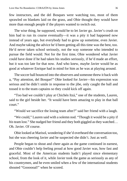few instructors, and the del Bosques were watching too, most of them sprawled on blankets laid on the grass, and Obie thought they would have more than enough people if the players wanted to switch out.

The wise thing, he supposed, would be to let Javier go. Javier's crush on him had to run its course eventually—it was a pity it had happened now instead of years ago, but everybody had to grow up sometime, even Javier. And maybe taking the advice he'd been getting all this time was the best, too. He'd never taken school seriously, not the way someone who intended to pursue the field would. Not for the first time, Obie wondered what Javier could have done if he had taken his studies seriously, if he'd made an effort, but it was too late for that now. And who knew, maybe Javier would be as good at whatever Enrique had in mind for him as he was at playing around.

The soccer ball bounced into the observers and someone threw it back with a, "Pay attention, del Bosque!" Obie looked for Javier—his expression was serious and he didn't smile in response to the jibe, only caught the ball and tossed it to the team captains so they could kick off again.

"Too bad we couldn't play at Chichén Itzá," one of the students, Lauren, said to the girl beside her. "It would have been amazing to play in that ball court."

"Would we sacrifice the losing team after?" said her friend with a laugh.

"We could," Lauren said with a solemn nod. "Though it would be a pity if *his* team lost." She nudged her friend and they both giggled as they watched... Oh. Javier. Of course.

Obie looked at Marisol, wondering if she'd overheard the conversation too, but she was cheering Javier and he suspected she didn't. Just as well.

People began to shout and cheer again as the game continued in earnest, and Obie couldn't help feeling proud at how good Javier was, how fast and graceful. Most of the American students hadn't played since elementary school, from the look of it, while Javier took the game as seriously as any of his countrymen, and he even smiled when a few of the international students shouted "Goooooal!" when he scored.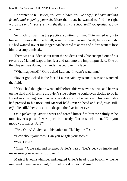He wanted to tell Javier, *You can't leave. You've only just begun making friends and enjoying yourself.* More than that, he wanted to find the right words to say, *I'm sorry, stay at the dig, stay at school until you graduate. Stay with me.*

So much for wanting the practical solution for him. Obie smiled wryly to himself. It was selfish, after all, wanting Javier around. Well, he was selfish. He had wanted Javier for longer than he cared to admit and didn't want to lose him to a stupid mistake.

There was a sudden shout from the students and Obie snapped out of his reverie as Marisol leapt to her feet and ran onto the impromptu field. One of the players was down, his hands clasped over his face.

"What happened?" Obie asked Lauren. "I wasn't watching."

"Javier got kicked in the face," Lauren said, eyes anxious as she watched the field.

If Obie had thought he went cold before, this was even worse, and he was on the field and kneeling at Javier's side before he could even decide to do it. Blood was gushing down Javier's face despite the T-shirt one of his teammates had pressed to his nose, and Marisol held Javier's head and said, "Lie still, *mijo*, lie still," her voice calm despite the fear in her eyes.

Obie picked up Javier's wrist and forced himself to breathe calmly as he took Javier's pulse. It was quick but steady. Not in shock, then. "Can you move your hands, Javi?"

"Yes, Obie," Javier said, his voice muffled by the T-shirt.

"How about your toes? Can you wiggle your toes?"

"Yes, Obie."

"Okay," Obie said and released Javier's wrist. "Let's get you inside and make sure your nose isn't broken."

Marisol let out a whimper and hugged Javier's head to her bosom, while he muttered in embarrassment, "I'll get blood on you, Mami."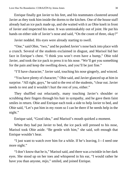Enrique finally got Javier to his feet, and his teammates clustered around Javier as they took him inside the dorms to the kitchen. One of the house staff already had an ice pack made up, and she waited with it as Obie knelt in front of Javier and inspected his nose. It was unmistakably out of joint. He put his hands on either side of Javier's nose and said, "On the count of three, okay?"

Javier nodded. His eyes were already starting to swell.

"One," said Obie, "two," and he pushed Javier's nose back into place with a crunch. Several of the students exclaimed in disgust, and Marisol hid her face in Enrique's chest. "I think you won't even have a bump," Obie told Javier, and took the ice pack to press it to his nose. "We'll get you something for the pain and keep the swelling down, and you'll be just fine."

"I'll have character," Javier said, touching his nose gingerly, and winced.

"You have plenty of character," Obie said, and Javier glanced up at him in surprise. "All right, guys," he said to the rest of the students, "clear out. Javier needs to rest and it wouldn't hurt the rest of you, either."

They shuffled out reluctantly, many touching Javier's shoulder or scrubbing their fingers through his hair in sympathy, and he gave them faint smiles in return. Obie and Enrique each took a side to help Javier to bed, and Obie said, "Let's put him in my room so I can be there if he needs help in the night."

Enrique said, "Good idea," and Marisol's mouth quirked a moment.

When they had put Javier to bed, the ice pack still pressed to his nose, Marisol took Obie aside. "Be gentle with him," she said, soft enough that Enrique wouldn't hear.

"I just want to watch over him for a while. If he's leaving, I—I need one more night."

"I don't know that he is," Marisol said, and there was a twinkle in her dark eyes. She stood up on her toes and whispered in his ear, "I would rather he have you than anyone, *mijo*," smiled, and joined Enrique.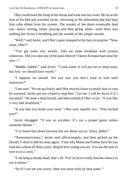Obie swallowed the lump in histhroat and went into hisroom. He sat at the foot of his bed and watched Javier, shivering as the adrenaline that had kept him calm ebbed from his system. The sounds of the dorm eventually died out—doors closing, music playing and then going silent—until there was nothing but Javier's breathing and the sounds of the jungle outside.

"Well," said Javier, and Obie's gaze snapped to his face in surprise. "Now what, Obie?"

"You get some rest, mostly. And eat some breakfast with protein tomorrow. Did you take any of the pain reliever? I know Enrique had some for you—"

"Babble, babble," said Javier. "I took some. It will put me to sleep soon, but first, we should have words."

"I suppose we should. Are you sure you don't want to wait until tomorrow?"

"I am sure." He sat up slowly and Obie moved closer to steady him in case he wavered. Javier put out a hand to stop him. "Let me. I will lie down if it's too much." He took a deep breath, and then smiled at Obie wryly. "It was like a very bad nosebleed."

"It was like you broke your nose," Obie said, equally wry. "Who kicked you?"

Javier shrugged. "It was an accident. It's not a proper game unless someone bleeds."

"I've heard that about lacrosse but not about soccer. Sorry, *fútbol*."

"*Norteamericanos*," Javier said affectionately, and then picked up the bloody T-shirt to dab his nose again. "Isee why Mami and Father have let you lead this school all these years, despite how young you are. You are the man to turn to in a crisis."

"I can keep a steady head, that's all. You've never really had the chance to see it before."

"So if I can see you worry, then you must truly be near panic."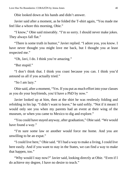Obie looked down at his hands and didn't answer.

Javier said after a moment, as he folded the T-shirt again, "You made me feel like a whore this morning, Obie."

"I know," Obie said miserably. "I'm so sorry. I should never make jokes. They always fall flat."

"There is some truth in humor," Javier replied. "I adore you, you know. I have never thought you might love me back, but I thought you at least respected me."

"Oh, Javi, I do. I think you're amazing."

"But stupid."

"I don't think that. I think you coast because you can. I think you'd astound us all if you actually tried."

"So I am lazy."

Obie said, after a moment, "Yes. If you put as much effort into your classes as you do your boyfriends, you'd have a PhD by now."

Javier looked up at him, then at the shirt he was restlessly folding and refolding in his lap. "I didn't want to leave," he said softly. "Not if it meant I would only see you when my parents had an event at their wing of the museum, or when you came to Mexico to dig and explore."

"You could have stayed anyway, after graduation," Obie said. "We would have found a way."

"I'm sure some law or another would force me home. And you are unwilling to be an expat."

"I could live here," Obie said. "If I had a way to make a living, I could live here easily. And if you want to stay in the States, we can find a way to make that happen, too."

"Why would I stay now?" Javier said, looking directly at Obie. "Even if I do achieve my degree, I have no desire to teach."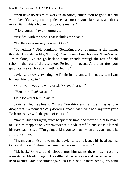"You have no desire to work in an office, either. You're good at field work,Javi. You've got more patience than most of your classmates, and that's more vital in this job than most people realize."

"More bones," Javier murmured.

"We deal with the past. That includes the dead."

"Do they ever make you weep, Obie?"

"Sometimes," Obie admitted. "Sometimes. Not as much as the living, though." He added softly, "Don't go," and Javier closed his eyes. "Here's what I'm thinking. We can go back to being friends through the rest of field school—the rest of the year, too. Perfectly innocent. And then after you graduate, we can try again, with no hiding."

Javier said slowly, twisting the T-shirt in his hands, "I'm not certain I can be your friend again."

Obie swallowed and whispered, "Okay. That's—"

"You are still *mi corazón*."

Obie looked at him. "Javi?"

Javier smiled helplessly. "What? You think such a little thing as love disappears in a moment? Why do you suppose I wanted to be away from you? To learn to live with the pain, of course."

"Javi," Obie said again, much happier thistime, and moved closer to Javier to kiss him, stopping only when Javier said, "Ah, careful," and so Obie kissed his forehead instead. "I'm going to kiss you so much when you can handle it. Just to warn you."

"I want you to kiss me so much," Javier said, and leaned his head against Obie's shoulder. "I think the painkillers are setting in now."

"Lie back," Obie said and helped to prop him against the pillow, in case his nose started bleeding again. He settled at Javier's side and Javier leaned his head against Obie's shoulder again, so Obie held it there gently, his hand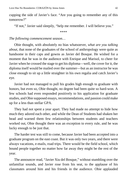cupping the side of Javier's face. "Are you going to remember any of this tomorrow?"

"If not," Javier said sleepily, "help me remember. I will believe you."

\*\*\*\*

#### *The following commencement season…*

Obie thought, with absolutely no bias whatsoever, *what are you talking about*, that none of the graduates of the school of anthropology were quite as handsome in their caps and gowns as Javier del Bosque. He wished for a moment that he was in the audience with Enrique and Marisol, to cheer for Javier when he crossed the stage to get his diploma—well, the cover for it, the diploma itself would be mailed over the summer—but as an instructor he was close enough to sit up a little straighter in his own regalia and catch Javier's eye.

Javier had not managed to pull his grades high enough to graduate with honors, but even so, Obie thought, no degree had been quite so hard-won. A few schools had even responded positively to his application for graduate studies, and Obie supposed essays, recommendations, and passion could make up for a less than stellar GPA.

They had not spent a year apart. They had made no attempt to hide how much they adored each other, and while the Dean of Students had shaken her head and warned them few relationships between students and teachers worked out, Obie thought there was an exception to every rule, and he was lucky enough to be just that.

The harder test was still to come, because Javier had been accepted into a graduate program on the east coast. But it was only two years, and there were always vacations, e-mails, road trips. There would be the field school, which bound people together no matter how far away they might be the rest of the year.

The announcer read, "Javier Xiu del Bosque," without stumbling over the unfamiliar sounds, and Javier rose from his seat, to the applause of his classmates around him and his friends in the audience. Obie applauded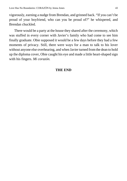vigorously, earning a nudge from Brendan, and grinned back. "If you can't be proud of your boyfriend, who can you be proud of?" he whispered, and Brendan chuckled.

There would be a party at the house they shared after the ceremony, which was stuffed in every corner with Javier's family who had come to see him finally graduate. Obie supposed it would be a few days before they had a few moments of privacy. Still, there were ways for a man to talk to his lover without anyone else overhearing, and when Javier turned from the dean to hold up the diploma cover, Obie caught his eye and made a little heart-shaped sign with his fingers. *Mi corazón.*

#### **THE END**